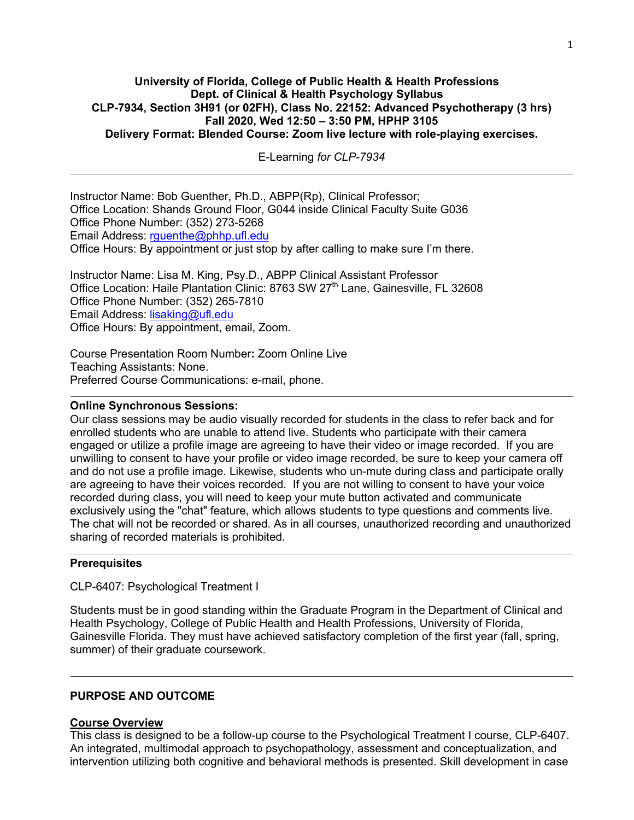### **University of Florida, College of Public Health & Health Professions Dept. of Clinical & Health Psychology Syllabus CLP-7934, Section 3H91 (or 02FH), Class No. 22152: Advanced Psychotherapy (3 hrs) Fall 2020, Wed 12:50 – 3:50 PM, HPHP 3105 Delivery Format: Blended Course: Zoom live lecture with role-playing exercises.**

E-Learning *for CLP-7934*

Instructor Name: Bob Guenther, Ph.D., ABPP(Rp), Clinical Professor; Office Location: Shands Ground Floor, G044 inside Clinical Faculty Suite G036 Office Phone Number: (352) 273-5268 Email Address: rguenthe@phhp.ufl.edu Office Hours: By appointment or just stop by after calling to make sure I'm there.

Instructor Name: Lisa M. King, Psy.D., ABPP Clinical Assistant Professor Office Location: Haile Plantation Clinic: 8763 SW  $27<sup>th</sup>$  Lane, Gainesville, FL 32608 Office Phone Number: (352) 265-7810 Email Address: lisaking@ufl.edu Office Hours: By appointment, email, Zoom.

Course Presentation Room Number**:** Zoom Online Live Teaching Assistants: None. Preferred Course Communications: e-mail, phone.

#### **Online Synchronous Sessions:**

Our class sessions may be audio visually recorded for students in the class to refer back and for enrolled students who are unable to attend live. Students who participate with their camera engaged or utilize a profile image are agreeing to have their video or image recorded. If you are unwilling to consent to have your profile or video image recorded, be sure to keep your camera off and do not use a profile image. Likewise, students who un-mute during class and participate orally are agreeing to have their voices recorded. If you are not willing to consent to have your voice recorded during class, you will need to keep your mute button activated and communicate exclusively using the "chat" feature, which allows students to type questions and comments live. The chat will not be recorded or shared. As in all courses, unauthorized recording and unauthorized sharing of recorded materials is prohibited.

#### **Prerequisites**

CLP-6407: Psychological Treatment I

Students must be in good standing within the Graduate Program in the Department of Clinical and Health Psychology, College of Public Health and Health Professions, University of Florida, Gainesville Florida. They must have achieved satisfactory completion of the first year (fall, spring, summer) of their graduate coursework.

#### **PURPOSE AND OUTCOME**

### **Course Overview**

This class is designed to be a follow-up course to the Psychological Treatment I course, CLP-6407. An integrated, multimodal approach to psychopathology, assessment and conceptualization, and intervention utilizing both cognitive and behavioral methods is presented. Skill development in case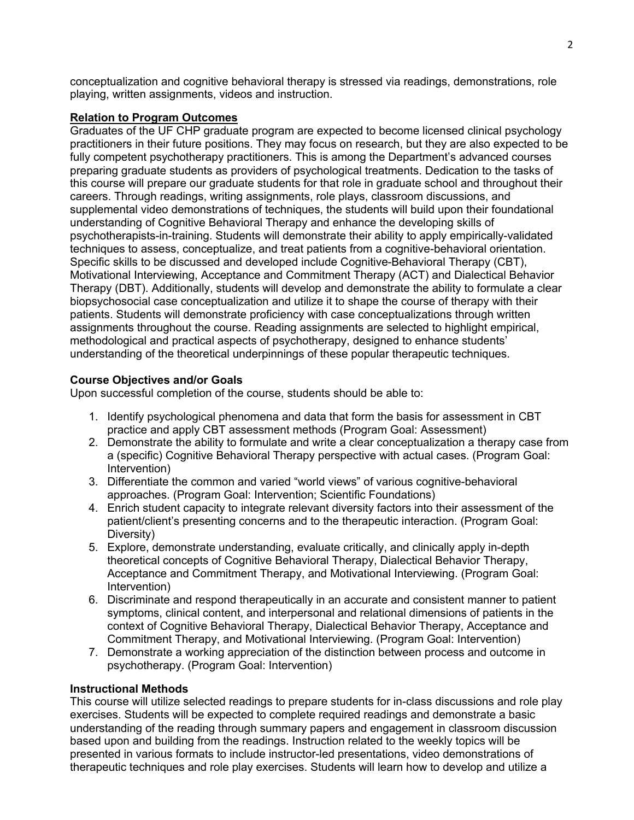conceptualization and cognitive behavioral therapy is stressed via readings, demonstrations, role playing, written assignments, videos and instruction.

### **Relation to Program Outcomes**

Graduates of the UF CHP graduate program are expected to become licensed clinical psychology practitioners in their future positions. They may focus on research, but they are also expected to be fully competent psychotherapy practitioners. This is among the Department's advanced courses preparing graduate students as providers of psychological treatments. Dedication to the tasks of this course will prepare our graduate students for that role in graduate school and throughout their careers. Through readings, writing assignments, role plays, classroom discussions, and supplemental video demonstrations of techniques, the students will build upon their foundational understanding of Cognitive Behavioral Therapy and enhance the developing skills of psychotherapists-in-training. Students will demonstrate their ability to apply empirically-validated techniques to assess, conceptualize, and treat patients from a cognitive-behavioral orientation. Specific skills to be discussed and developed include Cognitive-Behavioral Therapy (CBT), Motivational Interviewing, Acceptance and Commitment Therapy (ACT) and Dialectical Behavior Therapy (DBT). Additionally, students will develop and demonstrate the ability to formulate a clear biopsychosocial case conceptualization and utilize it to shape the course of therapy with their patients. Students will demonstrate proficiency with case conceptualizations through written assignments throughout the course. Reading assignments are selected to highlight empirical, methodological and practical aspects of psychotherapy, designed to enhance students' understanding of the theoretical underpinnings of these popular therapeutic techniques.

### **Course Objectives and/or Goals**

Upon successful completion of the course, students should be able to:

- 1. Identify psychological phenomena and data that form the basis for assessment in CBT practice and apply CBT assessment methods (Program Goal: Assessment)
- 2. Demonstrate the ability to formulate and write a clear conceptualization a therapy case from a (specific) Cognitive Behavioral Therapy perspective with actual cases. (Program Goal: Intervention)
- 3. Differentiate the common and varied "world views" of various cognitive-behavioral approaches. (Program Goal: Intervention; Scientific Foundations)
- 4. Enrich student capacity to integrate relevant diversity factors into their assessment of the patient/client's presenting concerns and to the therapeutic interaction. (Program Goal: Diversity)
- 5. Explore, demonstrate understanding, evaluate critically, and clinically apply in-depth theoretical concepts of Cognitive Behavioral Therapy, Dialectical Behavior Therapy, Acceptance and Commitment Therapy, and Motivational Interviewing. (Program Goal: Intervention)
- 6. Discriminate and respond therapeutically in an accurate and consistent manner to patient symptoms, clinical content, and interpersonal and relational dimensions of patients in the context of Cognitive Behavioral Therapy, Dialectical Behavior Therapy, Acceptance and Commitment Therapy, and Motivational Interviewing. (Program Goal: Intervention)
- 7. Demonstrate a working appreciation of the distinction between process and outcome in psychotherapy. (Program Goal: Intervention)

### **Instructional Methods**

This course will utilize selected readings to prepare students for in-class discussions and role play exercises. Students will be expected to complete required readings and demonstrate a basic understanding of the reading through summary papers and engagement in classroom discussion based upon and building from the readings. Instruction related to the weekly topics will be presented in various formats to include instructor-led presentations, video demonstrations of therapeutic techniques and role play exercises. Students will learn how to develop and utilize a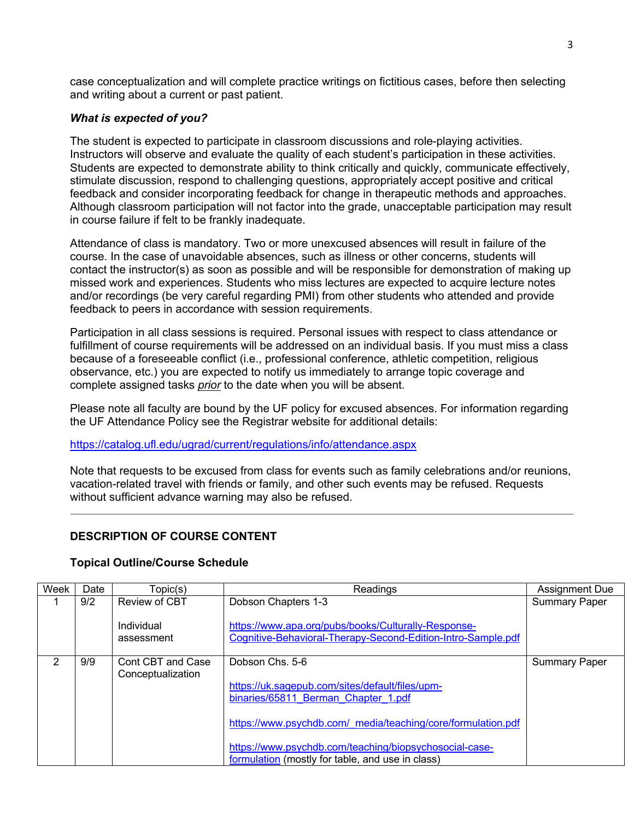case conceptualization and will complete practice writings on fictitious cases, before then selecting and writing about a current or past patient.

## *What is expected of you?*

The student is expected to participate in classroom discussions and role-playing activities. Instructors will observe and evaluate the quality of each student's participation in these activities. Students are expected to demonstrate ability to think critically and quickly, communicate effectively, stimulate discussion, respond to challenging questions, appropriately accept positive and critical feedback and consider incorporating feedback for change in therapeutic methods and approaches. Although classroom participation will not factor into the grade, unacceptable participation may result in course failure if felt to be frankly inadequate.

Attendance of class is mandatory. Two or more unexcused absences will result in failure of the course. In the case of unavoidable absences, such as illness or other concerns, students will contact the instructor(s) as soon as possible and will be responsible for demonstration of making up missed work and experiences. Students who miss lectures are expected to acquire lecture notes and/or recordings (be very careful regarding PMI) from other students who attended and provide feedback to peers in accordance with session requirements.

Participation in all class sessions is required. Personal issues with respect to class attendance or fulfillment of course requirements will be addressed on an individual basis. If you must miss a class because of a foreseeable conflict (i.e., professional conference, athletic competition, religious observance, etc.) you are expected to notify us immediately to arrange topic coverage and complete assigned tasks *prior* to the date when you will be absent.

Please note all faculty are bound by the UF policy for excused absences. For information regarding the UF Attendance Policy see the Registrar website for additional details:

## https://catalog.ufl.edu/ugrad/current/regulations/info/attendance.aspx

Note that requests to be excused from class for events such as family celebrations and/or reunions, vacation-related travel with friends or family, and other such events may be refused. Requests without sufficient advance warning may also be refused.

# **DESCRIPTION OF COURSE CONTENT**

### **Topical Outline/Course Schedule**

| Week | Date | Topic(s)                               | Readings                                                                                                            | <b>Assignment Due</b> |
|------|------|----------------------------------------|---------------------------------------------------------------------------------------------------------------------|-----------------------|
|      | 9/2  | Review of CBT                          | Dobson Chapters 1-3                                                                                                 | <b>Summary Paper</b>  |
|      |      | Individual<br>assessment               | https://www.apa.org/pubs/books/Culturally-Response-<br>Cognitive-Behavioral-Therapy-Second-Edition-Intro-Sample.pdf |                       |
| 2    | 9/9  | Cont CBT and Case<br>Conceptualization | Dobson Chs. 5-6                                                                                                     | <b>Summary Paper</b>  |
|      |      |                                        | https://uk.sagepub.com/sites/default/files/upm-                                                                     |                       |
|      |      |                                        | binaries/65811 Berman Chapter 1.pdf                                                                                 |                       |
|      |      |                                        | https://www.psychdb.com/ media/teaching/core/formulation.pdf                                                        |                       |
|      |      |                                        | https://www.psychdb.com/teaching/biopsychosocial-case-<br>formulation (mostly for table, and use in class)          |                       |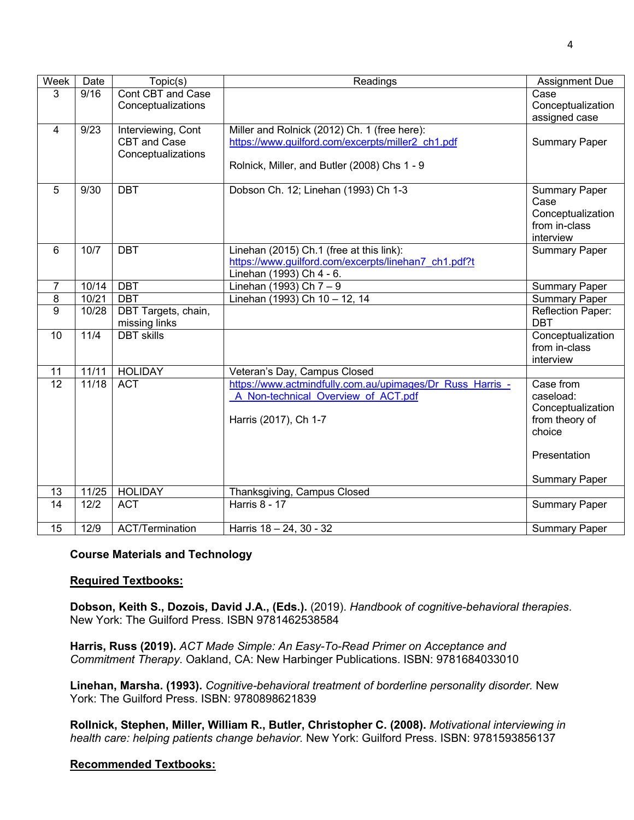| Week           | Date  | Topic(s)               | Readings                                                  | <b>Assignment Due</b>      |
|----------------|-------|------------------------|-----------------------------------------------------------|----------------------------|
| 3              | 9/16  | Cont CBT and Case      |                                                           | Case                       |
|                |       | Conceptualizations     |                                                           | Conceptualization          |
|                |       |                        |                                                           | assigned case              |
| $\overline{4}$ | 9/23  | Interviewing, Cont     | Miller and Rolnick (2012) Ch. 1 (free here):              |                            |
|                |       | CBT and Case           | https://www.guilford.com/excerpts/miller2_ch1.pdf         | <b>Summary Paper</b>       |
|                |       | Conceptualizations     |                                                           |                            |
|                |       |                        | Rolnick, Miller, and Butler (2008) Chs 1 - 9              |                            |
|                |       |                        |                                                           |                            |
| 5              | 9/30  | <b>DBT</b>             | Dobson Ch. 12; Linehan (1993) Ch 1-3                      | <b>Summary Paper</b>       |
|                |       |                        |                                                           | Case                       |
|                |       |                        |                                                           | Conceptualization          |
|                |       |                        |                                                           | from in-class<br>interview |
| 6              | 10/7  | <b>DBT</b>             | Linehan (2015) Ch.1 (free at this link):                  |                            |
|                |       |                        | https://www.guilford.com/excerpts/linehan7 ch1.pdf?t      | <b>Summary Paper</b>       |
|                |       |                        | Linehan (1993) Ch 4 - 6.                                  |                            |
| $\overline{7}$ | 10/14 | <b>DBT</b>             | Linehan (1993) Ch 7 - 9                                   | <b>Summary Paper</b>       |
| 8              | 10/21 | <b>DBT</b>             | Linehan (1993) Ch 10 - 12, 14                             | <b>Summary Paper</b>       |
| 9              | 10/28 | DBT Targets, chain,    |                                                           | Reflection Paper:          |
|                |       | missing links          |                                                           | <b>DBT</b>                 |
| 10             | 11/4  | <b>DBT</b> skills      |                                                           | Conceptualization          |
|                |       |                        |                                                           | from in-class              |
|                |       |                        |                                                           | interview                  |
| 11             | 11/11 | <b>HOLIDAY</b>         | Veteran's Day, Campus Closed                              |                            |
| 12             | 11/18 | <b>ACT</b>             | https://www.actmindfully.com.au/upimages/Dr Russ Harris - | Case from                  |
|                |       |                        | A Non-technical Overview of ACT.pdf                       | caseload:                  |
|                |       |                        |                                                           | Conceptualization          |
|                |       |                        | Harris (2017), Ch 1-7                                     | from theory of             |
|                |       |                        |                                                           | choice                     |
|                |       |                        |                                                           |                            |
|                |       |                        |                                                           | Presentation               |
|                |       |                        |                                                           |                            |
|                |       |                        |                                                           | <b>Summary Paper</b>       |
| 13             | 11/25 | <b>HOLIDAY</b>         | Thanksgiving, Campus Closed                               |                            |
| 14             | 12/2  | <b>ACT</b>             | <b>Harris 8 - 17</b>                                      | <b>Summary Paper</b>       |
|                |       |                        |                                                           |                            |
| 15             | 12/9  | <b>ACT/Termination</b> | Harris 18 - 24, 30 - 32                                   | <b>Summary Paper</b>       |

### **Course Materials and Technology**

#### **Required Textbooks:**

**Dobson, Keith S., Dozois, David J.A., (Eds.).** (2019). *Handbook of cognitive-behavioral therapies*. New York: The Guilford Press. ISBN 9781462538584

**Harris, Russ (2019).** *ACT Made Simple: An Easy-To-Read Primer on Acceptance and Commitment Therapy*. Oakland, CA: New Harbinger Publications. ISBN: 9781684033010

**Linehan, Marsha. (1993).** *Cognitive-behavioral treatment of borderline personality disorder.* New York: The Guilford Press. ISBN: 9780898621839

**Rollnick, Stephen, Miller, William R., Butler, Christopher C. (2008).** *Motivational interviewing in health care: helping patients change behavior.* New York: Guilford Press. ISBN: 9781593856137

#### **Recommended Textbooks:**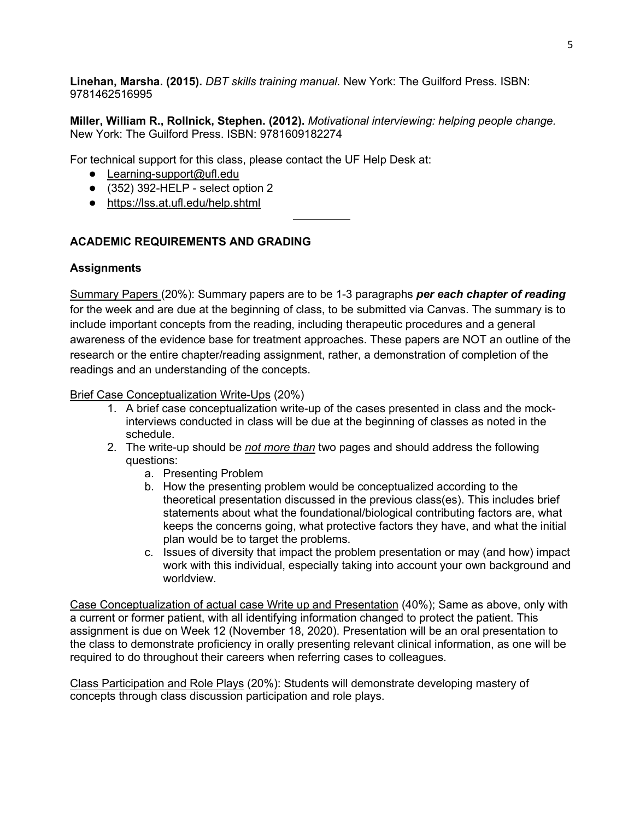**Linehan, Marsha. (2015).** *DBT skills training manual.* New York: The Guilford Press. ISBN: 9781462516995

**Miller, William R., Rollnick, Stephen. (2012).** *Motivational interviewing: helping people change.* New York: The Guilford Press. ISBN: 9781609182274

For technical support for this class, please contact the UF Help Desk at:

- Learning-support@ufl.edu
- (352) 392-HELP select option 2
- https://lss.at.ufl.edu/help.shtml

## **ACADEMIC REQUIREMENTS AND GRADING**

### **Assignments**

Summary Papers (20%): Summary papers are to be 1-3 paragraphs *per each chapter of reading* for the week and are due at the beginning of class, to be submitted via Canvas. The summary is to include important concepts from the reading, including therapeutic procedures and a general awareness of the evidence base for treatment approaches. These papers are NOT an outline of the research or the entire chapter/reading assignment, rather, a demonstration of completion of the readings and an understanding of the concepts.

Brief Case Conceptualization Write-Ups (20%)

- 1. A brief case conceptualization write-up of the cases presented in class and the mockinterviews conducted in class will be due at the beginning of classes as noted in the schedule.
- 2. The write-up should be *not more than* two pages and should address the following questions:
	- a. Presenting Problem
	- b. How the presenting problem would be conceptualized according to the theoretical presentation discussed in the previous class(es). This includes brief statements about what the foundational/biological contributing factors are, what keeps the concerns going, what protective factors they have, and what the initial plan would be to target the problems.
	- c. Issues of diversity that impact the problem presentation or may (and how) impact work with this individual, especially taking into account your own background and worldview.

Case Conceptualization of actual case Write up and Presentation (40%); Same as above, only with a current or former patient, with all identifying information changed to protect the patient. This assignment is due on Week 12 (November 18, 2020). Presentation will be an oral presentation to the class to demonstrate proficiency in orally presenting relevant clinical information, as one will be required to do throughout their careers when referring cases to colleagues.

Class Participation and Role Plays (20%): Students will demonstrate developing mastery of concepts through class discussion participation and role plays.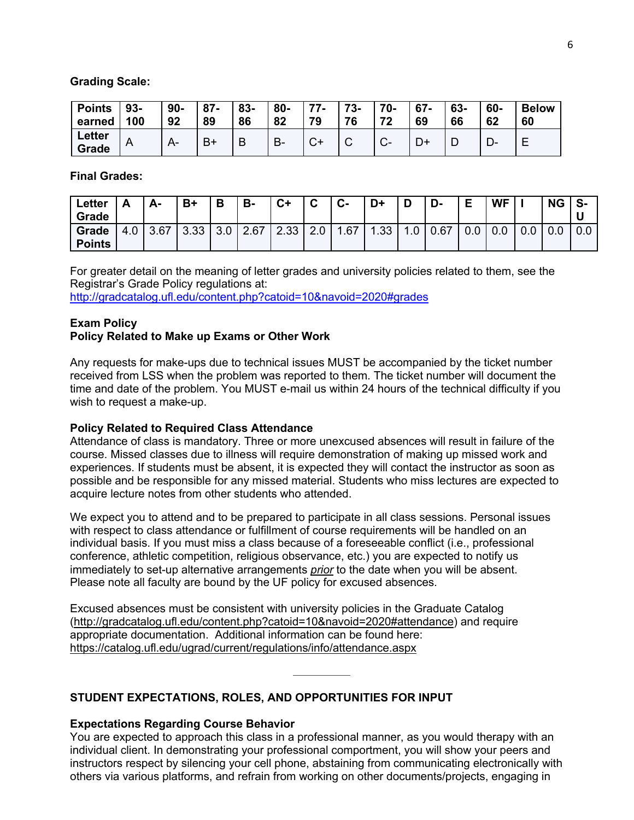#### **Grading Scale:**

| <b>Points</b>          | 93- | $90 -$ | $87 -$ | $\vert$ 83- | 80- | 77.       | 73- | 70- | 67- | 63- | 60-  | <b>Below</b> |
|------------------------|-----|--------|--------|-------------|-----|-----------|-----|-----|-----|-----|------|--------------|
| earned                 | 100 | 92     | 89     | 86          | 82  | 70        | 76  | 72  | 69  | 66  | 62   | 60           |
| <b>Letter</b><br>Grade |     |        | B١     |             | B-  | $\bigcap$ |     |     | D+  |     | – ∪− |              |

#### **Final Grades:**

| ∟etter<br>Grade        | ∽   | А-   | $B+$ |                 | В-   | $C+$ | $\rightarrow$<br>v | $\sim$<br>v. | D+  |     | D-   | Е   | <b>WF</b> |     | <b>NG</b> | S-<br>u |
|------------------------|-----|------|------|-----------------|------|------|--------------------|--------------|-----|-----|------|-----|-----------|-----|-----------|---------|
| Grade<br><b>Points</b> | 4.0 | 3.67 | 3.33 | $\Omega$<br>J.U | 2.67 | 2.33 | ററ<br>Z.U          | .67<br>-     | .33 | ט.ו | 0.67 | 0.0 | 0.0       | v.v | 0.0       | 0.0     |

For greater detail on the meaning of letter grades and university policies related to them, see the Registrar's Grade Policy regulations at: http://gradcatalog.ufl.edu/content.php?catoid=10&navoid=2020#grades

#### **Exam Policy Policy Related to Make up Exams or Other Work**

Any requests for make-ups due to technical issues MUST be accompanied by the ticket number received from LSS when the problem was reported to them. The ticket number will document the time and date of the problem. You MUST e-mail us within 24 hours of the technical difficulty if you wish to request a make-up.

#### **Policy Related to Required Class Attendance**

Attendance of class is mandatory. Three or more unexcused absences will result in failure of the course. Missed classes due to illness will require demonstration of making up missed work and experiences. If students must be absent, it is expected they will contact the instructor as soon as possible and be responsible for any missed material. Students who miss lectures are expected to acquire lecture notes from other students who attended.

We expect you to attend and to be prepared to participate in all class sessions. Personal issues with respect to class attendance or fulfillment of course requirements will be handled on an individual basis. If you must miss a class because of a foreseeable conflict (i.e., professional conference, athletic competition, religious observance, etc.) you are expected to notify us immediately to set-up alternative arrangements *prior* to the date when you will be absent. Please note all faculty are bound by the UF policy for excused absences.

Excused absences must be consistent with university policies in the Graduate Catalog (http://gradcatalog.ufl.edu/content.php?catoid=10&navoid=2020#attendance) and require appropriate documentation. Additional information can be found here: https://catalog.ufl.edu/ugrad/current/regulations/info/attendance.aspx

### **STUDENT EXPECTATIONS, ROLES, AND OPPORTUNITIES FOR INPUT**

#### **Expectations Regarding Course Behavior**

You are expected to approach this class in a professional manner, as you would therapy with an individual client. In demonstrating your professional comportment, you will show your peers and instructors respect by silencing your cell phone, abstaining from communicating electronically with others via various platforms, and refrain from working on other documents/projects, engaging in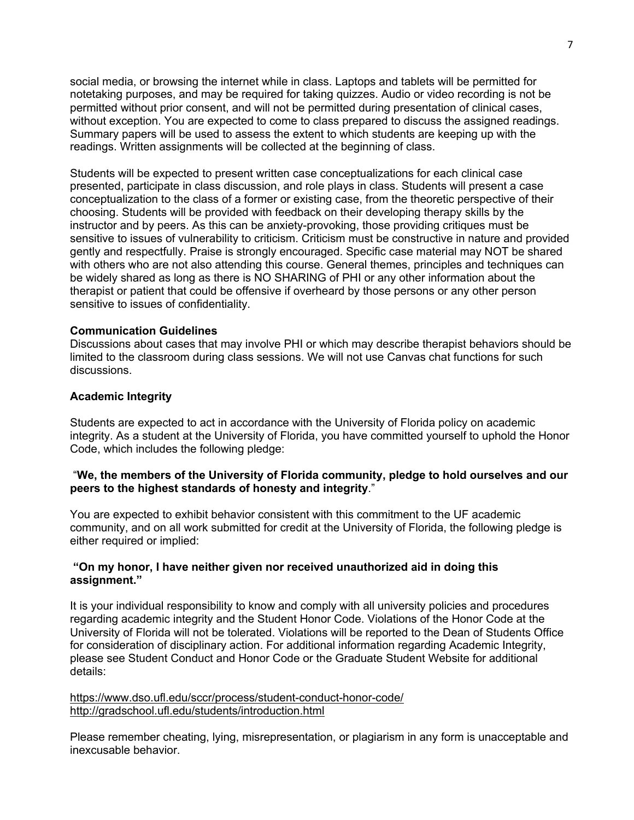social media, or browsing the internet while in class. Laptops and tablets will be permitted for notetaking purposes, and may be required for taking quizzes. Audio or video recording is not be permitted without prior consent, and will not be permitted during presentation of clinical cases, without exception. You are expected to come to class prepared to discuss the assigned readings. Summary papers will be used to assess the extent to which students are keeping up with the readings. Written assignments will be collected at the beginning of class.

Students will be expected to present written case conceptualizations for each clinical case presented, participate in class discussion, and role plays in class. Students will present a case conceptualization to the class of a former or existing case, from the theoretic perspective of their choosing. Students will be provided with feedback on their developing therapy skills by the instructor and by peers. As this can be anxiety-provoking, those providing critiques must be sensitive to issues of vulnerability to criticism. Criticism must be constructive in nature and provided gently and respectfully. Praise is strongly encouraged. Specific case material may NOT be shared with others who are not also attending this course. General themes, principles and techniques can be widely shared as long as there is NO SHARING of PHI or any other information about the therapist or patient that could be offensive if overheard by those persons or any other person sensitive to issues of confidentiality.

### **Communication Guidelines**

Discussions about cases that may involve PHI or which may describe therapist behaviors should be limited to the classroom during class sessions. We will not use Canvas chat functions for such discussions.

### **Academic Integrity**

Students are expected to act in accordance with the University of Florida policy on academic integrity. As a student at the University of Florida, you have committed yourself to uphold the Honor Code, which includes the following pledge:

### "**We, the members of the University of Florida community, pledge to hold ourselves and our peers to the highest standards of honesty and integrity**."

You are expected to exhibit behavior consistent with this commitment to the UF academic community, and on all work submitted for credit at the University of Florida, the following pledge is either required or implied:

### **"On my honor, I have neither given nor received unauthorized aid in doing this assignment."**

It is your individual responsibility to know and comply with all university policies and procedures regarding academic integrity and the Student Honor Code. Violations of the Honor Code at the University of Florida will not be tolerated. Violations will be reported to the Dean of Students Office for consideration of disciplinary action. For additional information regarding Academic Integrity, please see Student Conduct and Honor Code or the Graduate Student Website for additional details:

https://www.dso.ufl.edu/sccr/process/student-conduct-honor-code/ http://gradschool.ufl.edu/students/introduction.html

Please remember cheating, lying, misrepresentation, or plagiarism in any form is unacceptable and inexcusable behavior.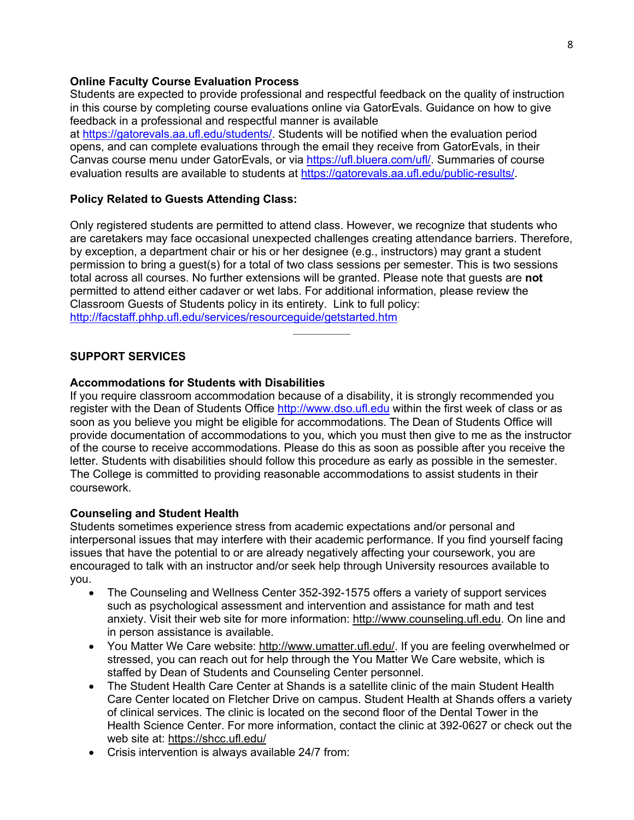#### **Online Faculty Course Evaluation Process**

Students are expected to provide professional and respectful feedback on the quality of instruction in this course by completing course evaluations online via GatorEvals. Guidance on how to give feedback in a professional and respectful manner is available at https://gatorevals.aa.ufl.edu/students/. Students will be notified when the evaluation period opens, and can complete evaluations through the email they receive from GatorEvals, in their Canvas course menu under GatorEvals, or via https://ufl.bluera.com/ufl/. Summaries of course evaluation results are available to students at https://gatorevals.aa.ufl.edu/public-results/.

#### **Policy Related to Guests Attending Class:**

Only registered students are permitted to attend class. However, we recognize that students who are caretakers may face occasional unexpected challenges creating attendance barriers. Therefore, by exception, a department chair or his or her designee (e.g., instructors) may grant a student permission to bring a guest(s) for a total of two class sessions per semester. This is two sessions total across all courses. No further extensions will be granted. Please note that guests are **not** permitted to attend either cadaver or wet labs. For additional information, please review the Classroom Guests of Students policy in its entirety. Link to full policy: http://facstaff.phhp.ufl.edu/services/resourceguide/getstarted.htm

### **SUPPORT SERVICES**

### **Accommodations for Students with Disabilities**

If you require classroom accommodation because of a disability, it is strongly recommended you register with the Dean of Students Office http://www.dso.ufl.edu within the first week of class or as soon as you believe you might be eligible for accommodations. The Dean of Students Office will provide documentation of accommodations to you, which you must then give to me as the instructor of the course to receive accommodations. Please do this as soon as possible after you receive the letter. Students with disabilities should follow this procedure as early as possible in the semester. The College is committed to providing reasonable accommodations to assist students in their coursework.

#### **Counseling and Student Health**

Students sometimes experience stress from academic expectations and/or personal and interpersonal issues that may interfere with their academic performance. If you find yourself facing issues that have the potential to or are already negatively affecting your coursework, you are encouraged to talk with an instructor and/or seek help through University resources available to you.

- The Counseling and Wellness Center 352-392-1575 offers a variety of support services such as psychological assessment and intervention and assistance for math and test anxiety. Visit their web site for more information: http://www.counseling.ufl.edu. On line and in person assistance is available.
- You Matter We Care website: http://www.umatter.ufl.edu/. If you are feeling overwhelmed or stressed, you can reach out for help through the You Matter We Care website, which is staffed by Dean of Students and Counseling Center personnel.
- The Student Health Care Center at Shands is a satellite clinic of the main Student Health Care Center located on Fletcher Drive on campus. Student Health at Shands offers a variety of clinical services. The clinic is located on the second floor of the Dental Tower in the Health Science Center. For more information, contact the clinic at 392-0627 or check out the web site at: https://shcc.ufl.edu/
- Crisis intervention is always available 24/7 from: